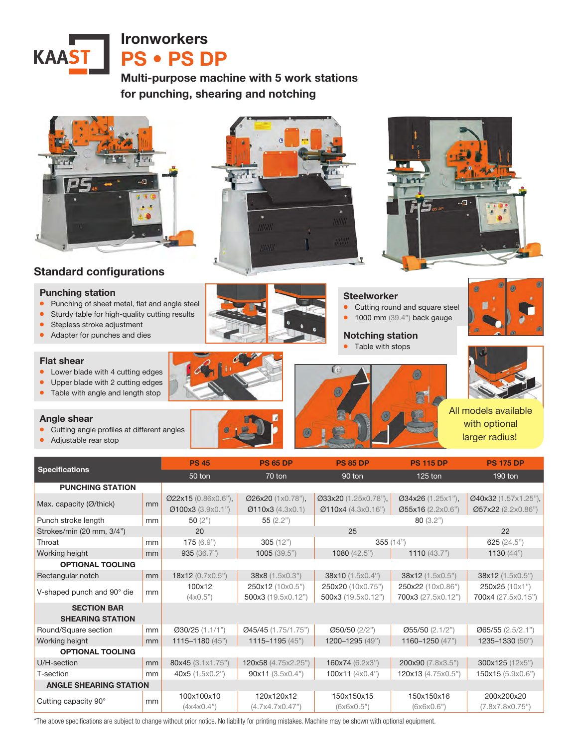

Multi-purpose machine with 5 work stations for punching, shearing and notching



# Standard configurations

#### Punching station

- Punching of sheet metal, flat and angle steel
- Sturdy table for high-quality cutting results
- Stepless stroke adjustment
- Adapter for punches and dies

#### Flat shear

- Lower blade with 4 cutting edges
- Upper blade with 2 cutting edges
- Table with angle and length stop

#### Angle shear

- Cutting angle profiles at different angles
- Adjustable rear stop





### **Steelworker**

• Cutting round and square steel

 $\circledcirc$ 

• 1000 mm (39.4") back gauge

## Notching station

• Table with stops





All models available with optional larger radius!

| <b>Specifications</b>         |    | <b>PS 45</b>                             | <b>PS 65 DP</b>                       | <b>PS 85 DP</b>                            | <b>PS 115 DP</b>                       | <b>PS 175 DP</b>                           |
|-------------------------------|----|------------------------------------------|---------------------------------------|--------------------------------------------|----------------------------------------|--------------------------------------------|
|                               |    | 50 ton                                   | 70 ton                                | 90 ton                                     | $125$ ton                              | 190 ton                                    |
|                               |    |                                          |                                       |                                            |                                        |                                            |
| <b>PUNCHING STATION</b>       |    |                                          |                                       |                                            |                                        |                                            |
| Max. capacity (Ø/thick)       | mm | Ø22x15 (0.86x0.6"),<br>Ø100x3 (3.9x0.1") | Ø26x20 (1x0.78"),<br>Ø110x3 (4.3x0.1) | Ø33x20 (1.25x0.78"),<br>Ø110x4 (4.3x0.16") | Ø34x26 (1.25x1"),<br>Ø55x16 (2.2x0.6") | Ø40x32 (1.57x1.25"),<br>Ø57x22 (2.2x0.86") |
| Punch stroke length           | mm | 50 $(2")$                                | 80(3.2")<br>55(2.2")                  |                                            |                                        |                                            |
| Strokes/min (20 mm, 3/4")     |    | 20                                       | 25                                    |                                            |                                        | 22                                         |
| Throat                        | mm | 175(6.9")                                | 305(12")                              | 355(14")                                   |                                        | 625 $(24.5)$                               |
| Working height                | mm | 935(36.7")                               | 1005(39.5")                           | 1080 $(42.5")$                             | 1110 $(43.7)$                          | 1130 $(44")$                               |
| <b>OPTIONAL TOOLING</b>       |    |                                          |                                       |                                            |                                        |                                            |
| Rectangular notch             | mm | 18x12 (0.7x0.5")                         | 38x8 (1.5x0.3")                       | 38x10 (1.5x0.4")                           | 38x12 (1.5x0.5")                       | 38x12 (1.5x0.5")                           |
| V-shaped punch and 90° die    | mm | 100x12                                   | 250x12 (10x0.5")                      | 250x20 (10x0.75")                          | 250x22 (10x0.86")                      | 250x25 (10x1")                             |
|                               |    | $(4 \times 0.5")$                        | 500x3 (19.5x0.12")                    | 500x3 (19.5x0.12")                         | 700x3 (27.5x0.12")                     | 700x4 (27.5x0.15")                         |
| <b>SECTION BAR</b>            |    |                                          |                                       |                                            |                                        |                                            |
| <b>SHEARING STATION</b>       |    |                                          |                                       |                                            |                                        |                                            |
| Round/Square section          | mm | $Q30/25$ (1.1/1")                        | Ø45/45 (1.75/1.75")                   | $\varnothing$ 50/50 (2/2")                 | $\varnothing$ 55/50 (2.1/2")           | $\varnothing$ 65/55 (2.5/2.1")             |
| Working height                | mm | $1115 - 1180(45)$                        | $1115 - 1195 (45)$                    | 1200-1295 (49")                            | 1160-1250 (47")                        | 1235-1330 (50")                            |
| <b>OPTIONAL TOOLING</b>       |    |                                          |                                       |                                            |                                        |                                            |
| U/H-section                   | mm | 80x45 (3.1x1.75")                        | 120x58 (4.75x2.25")                   | 160x74 (6.2x3")                            | 200x90 (7.8x3.5")                      | 300x125 (12x5")                            |
| T-section                     | mm | 40x5 (1.5x0.2")                          | 90x11(3.5x0.4")                       | 100x11 $(4x0.4)$                           | 120x13 (4.75x0.5")                     | 150x15 (5.9x0.6")                          |
| <b>ANGLE SHEARING STATION</b> |    |                                          |                                       |                                            |                                        |                                            |
| Cutting capacity 90°          | mm | 100x100x10                               | 120x120x12                            | 150x150x15                                 | 150x150x16                             | 200x200x20                                 |
|                               |    | (4x4x0.4")                               | (4.7x4.7x0.47")                       | (6x6x0.5")                                 | (6x6x0.6")                             | (7.8x7.8x0.75")                            |

\*The above specifications are subject to change without prior notice. No liability for printing mistakes. Machine may be shown with optional equipment.